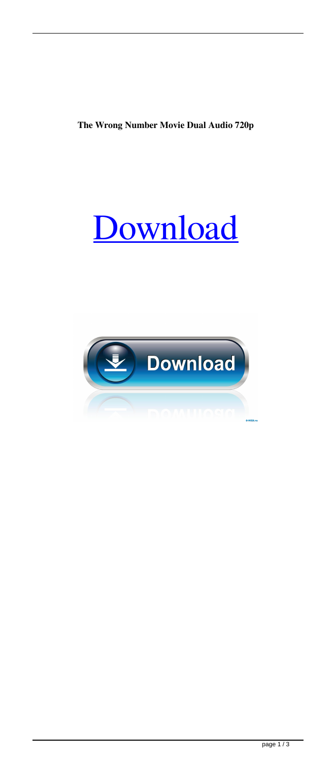**The Wrong Number Movie Dual Audio 720p**



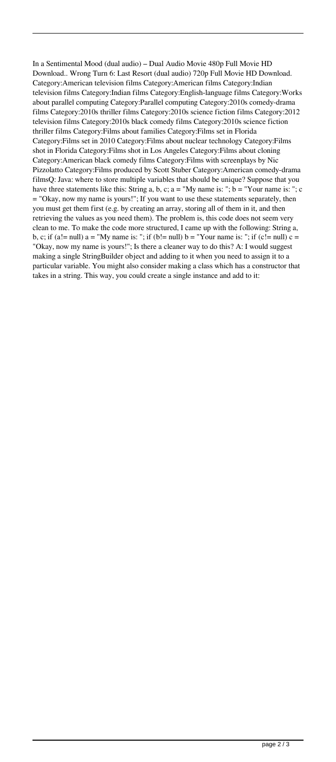In a Sentimental Mood (dual audio) – Dual Audio Movie 480p Full Movie HD Download.. Wrong Turn 6: Last Resort (dual audio) 720p Full Movie HD Download. Category:American television films Category:American films Category:Indian television films Category:Indian films Category:English-language films Category:Works about parallel computing Category:Parallel computing Category:2010s comedy-drama films Category:2010s thriller films Category:2010s science fiction films Category:2012 television films Category:2010s black comedy films Category:2010s science fiction thriller films Category:Films about families Category:Films set in Florida Category:Films set in 2010 Category:Films about nuclear technology Category:Films shot in Florida Category:Films shot in Los Angeles Category:Films about cloning Category:American black comedy films Category:Films with screenplays by Nic Pizzolatto Category:Films produced by Scott Stuber Category:American comedy-drama filmsQ: Java: where to store multiple variables that should be unique? Suppose that you have three statements like this: String a, b, c;  $a = "My name is:"; b = "Your name is:"; c$ = "Okay, now my name is yours!"; If you want to use these statements separately, then you must get them first (e.g. by creating an array, storing all of them in it, and then retrieving the values as you need them). The problem is, this code does not seem very clean to me. To make the code more structured, I came up with the following: String a, b, c; if (a!= null) a = "My name is: "; if (b!= null) b = "Your name is: "; if (c!= null) c = "Okay, now my name is yours!"; Is there a cleaner way to do this? A: I would suggest making a single StringBuilder object and adding to it when you need to assign it to a particular variable. You might also consider making a class which has a constructor that takes in a string. This way, you could create a single instance and add to it: